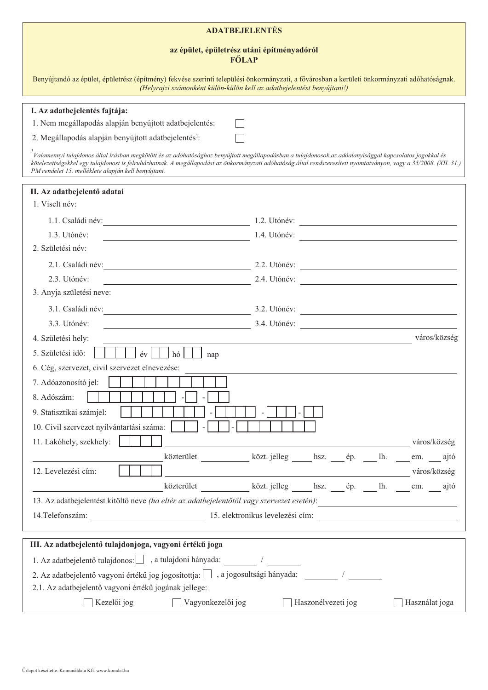| <b>ADATBEJELENTÉS</b>                                                                                                                                                                                                    |                                                                                                                                                                                                                                                                                                                                                                                                    |
|--------------------------------------------------------------------------------------------------------------------------------------------------------------------------------------------------------------------------|----------------------------------------------------------------------------------------------------------------------------------------------------------------------------------------------------------------------------------------------------------------------------------------------------------------------------------------------------------------------------------------------------|
| az épület, épületrész utáni építményadóról<br>FŐLAP                                                                                                                                                                      |                                                                                                                                                                                                                                                                                                                                                                                                    |
| Benyújtandó az épület, épületrész (építmény) fekvése szerinti települési önkormányzati, a fővárosban a kerületi önkormányzati adóhatóságnak.<br>(Helyrajzi számonként külön-külön kell az adatbejelentést benyújtani!)   |                                                                                                                                                                                                                                                                                                                                                                                                    |
| I. Az adatbejelentés fajtája:                                                                                                                                                                                            |                                                                                                                                                                                                                                                                                                                                                                                                    |
| 1. Nem megállapodás alapján benyújtott adatbejelentés:                                                                                                                                                                   |                                                                                                                                                                                                                                                                                                                                                                                                    |
| 2. Megállapodás alapján benyújtott adatbejelentés <sup>1</sup> :                                                                                                                                                         |                                                                                                                                                                                                                                                                                                                                                                                                    |
| $^{\rm 1}$ Valamennyi tulajdonos által írásban megkötött és az adóhatósághoz benyújtott megállapodásban a tulajdonosok az adóalanyisággal kapcsolatos jogokkal és<br>PM rendelet 15. melléklete alapján kell benyújtani. | kötelezettségekkel egy tulajdonost is felruházhatnak. A megállapodást az önkormányzati adóhatóság által rendszeresített nyomtatványon, vagy a 35/2008. (XII. 31.)<br>the control of the control of the control of the control of the control of the control of the control of the control of the control of the control of the control of the control of the control of the control of the control |
| II. Az adatbejelentő adatai                                                                                                                                                                                              |                                                                                                                                                                                                                                                                                                                                                                                                    |
| 1. Viselt név:                                                                                                                                                                                                           |                                                                                                                                                                                                                                                                                                                                                                                                    |
|                                                                                                                                                                                                                          | $1.2.$ Utónév:                                                                                                                                                                                                                                                                                                                                                                                     |
| 1.3. Utónév:                                                                                                                                                                                                             | 1.4. Utónév:                                                                                                                                                                                                                                                                                                                                                                                       |
| 2. Születési név:                                                                                                                                                                                                        |                                                                                                                                                                                                                                                                                                                                                                                                    |
|                                                                                                                                                                                                                          | $2.2.$ Utónév:                                                                                                                                                                                                                                                                                                                                                                                     |
| 2.3. Utónév:<br><u> 1989 - Johann Barn, fransk politik fotograf (d. 1989)</u>                                                                                                                                            | 2.4. Utónév:                                                                                                                                                                                                                                                                                                                                                                                       |
| 3. Anyja születési neve:                                                                                                                                                                                                 |                                                                                                                                                                                                                                                                                                                                                                                                    |
|                                                                                                                                                                                                                          |                                                                                                                                                                                                                                                                                                                                                                                                    |
| 3.3. Utónév:<br><u> 1989 - Johann Barbara, martxa eta politikar</u>                                                                                                                                                      | 3.4. Utónév:                                                                                                                                                                                                                                                                                                                                                                                       |
| 4. Születési hely:                                                                                                                                                                                                       | város/község                                                                                                                                                                                                                                                                                                                                                                                       |
| 5. Születési idő:<br>nap                                                                                                                                                                                                 |                                                                                                                                                                                                                                                                                                                                                                                                    |
| 6. Cég, szervezet, civil szervezet elnevezése:                                                                                                                                                                           |                                                                                                                                                                                                                                                                                                                                                                                                    |
| 11111<br>7. Adóazonosító jel:                                                                                                                                                                                            |                                                                                                                                                                                                                                                                                                                                                                                                    |
| 8. Adószám:                                                                                                                                                                                                              |                                                                                                                                                                                                                                                                                                                                                                                                    |
| 9. Statisztikai számjel:                                                                                                                                                                                                 |                                                                                                                                                                                                                                                                                                                                                                                                    |
| 10. Civil szervezet nyilvántartási száma:                                                                                                                                                                                |                                                                                                                                                                                                                                                                                                                                                                                                    |
| 11. Lakóhely, székhely:                                                                                                                                                                                                  | város/község<br><u> 1980 - Johann Barbara, martxa eta politikar</u>                                                                                                                                                                                                                                                                                                                                |
|                                                                                                                                                                                                                          | közterület ______________ közt. jelleg ______ hsz. ____ ép. _____ lh. ____ em. ____ ajtó                                                                                                                                                                                                                                                                                                           |
| 12. Levelezési cím:                                                                                                                                                                                                      | $\sim$ város/község város/község város/község város/község város/község város/község város/község város/község város/község város/község város/község város/község város/község város/község város/község város/község város/kö                                                                                                                                                                    |
|                                                                                                                                                                                                                          | közterület _____________ közt.jelleg ______ hsz. _____ ép. _____ lh. _____ em. _____ ajtó                                                                                                                                                                                                                                                                                                          |
|                                                                                                                                                                                                                          | 13. Az adatbejelentést kitöltő neve (ha eltér az adatbejelentőtől vagy szervezet esetén):                                                                                                                                                                                                                                                                                                          |
|                                                                                                                                                                                                                          | 14. Telefonszám: 15. elektronikus levelezési cím:                                                                                                                                                                                                                                                                                                                                                  |
| III. Az adatbejelentő tulajdonjoga, vagyoni értékű joga                                                                                                                                                                  |                                                                                                                                                                                                                                                                                                                                                                                                    |
| 1. Az adatbejelentő tulajdonos: , a tulajdoni hányada:                                                                                                                                                                   |                                                                                                                                                                                                                                                                                                                                                                                                    |
| 2. Az adatbejelentő vagyoni értékű jog jogosítottja: $\Box$ , a jogosultsági hányada:                                                                                                                                    |                                                                                                                                                                                                                                                                                                                                                                                                    |
| 2.1. Az adatbejelentő vagyoni értékű jogának jellege:                                                                                                                                                                    |                                                                                                                                                                                                                                                                                                                                                                                                    |
| Kezelői jog<br>Vagyonkezelői jog                                                                                                                                                                                         | Haszonélvezeti jog<br>Használat joga                                                                                                                                                                                                                                                                                                                                                               |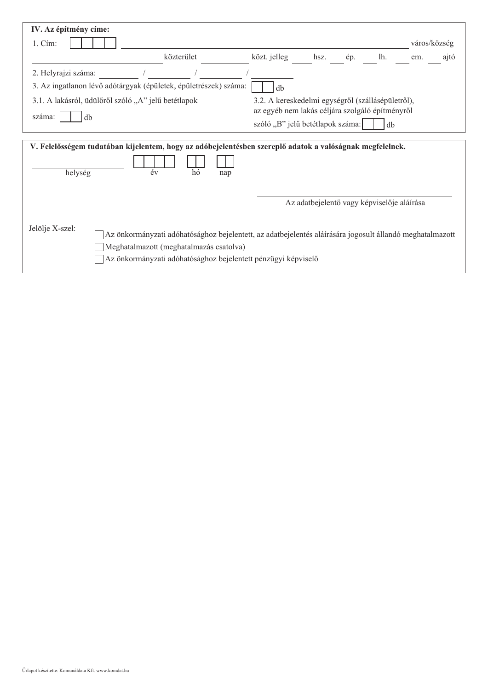| IV. Az építmény címe:                                                                                               |                                         |            |     |                                                                                                                                                                           |                                            |     |     |              |      |
|---------------------------------------------------------------------------------------------------------------------|-----------------------------------------|------------|-----|---------------------------------------------------------------------------------------------------------------------------------------------------------------------------|--------------------------------------------|-----|-----|--------------|------|
| $1. \mathrm{C}$ ím:                                                                                                 |                                         |            |     |                                                                                                                                                                           |                                            |     |     | város/község |      |
|                                                                                                                     |                                         | közterület |     | közt. jelleg                                                                                                                                                              | hsz.                                       | ép. | lh. | em.          | ajtó |
| 2. Helyrajzi száma:                                                                                                 |                                         |            |     |                                                                                                                                                                           |                                            |     |     |              |      |
| 3. Az ingatlanon lévő adótárgyak (épületek, épületrészek) száma:                                                    |                                         |            |     | db                                                                                                                                                                        |                                            |     |     |              |      |
| 3.1. A lakásról, üdülőről szóló "A" jelű betétlapok<br>száma:<br>db                                                 |                                         |            |     | 3.2. A kereskedelmi egységről (szállásépületről),<br>az egyéb nem lakás céljára szolgáló építményről<br>szóló "B" jelű betétlapok száma:                                  |                                            |     | db  |              |      |
|                                                                                                                     |                                         |            |     |                                                                                                                                                                           |                                            |     |     |              |      |
| V. Felelősségem tudatában kijelentem, hogy az adóbejelentésben szereplő adatok a valóságnak megfelelnek.<br>helység | év                                      | hó         | nap |                                                                                                                                                                           |                                            |     |     |              |      |
|                                                                                                                     |                                         |            |     |                                                                                                                                                                           | Az adatbejelentő vagy képviselője aláírása |     |     |              |      |
| Jelölje X-szel:                                                                                                     | Meghatalmazott (meghatalmazás csatolva) |            |     | Az önkormányzati adóhatósághoz bejelentett, az adatbejelentés aláírására jogosult állandó meghatalmazott<br>Az önkormányzati adóhatósághoz bejelentett pénzügyi képviselő |                                            |     |     |              |      |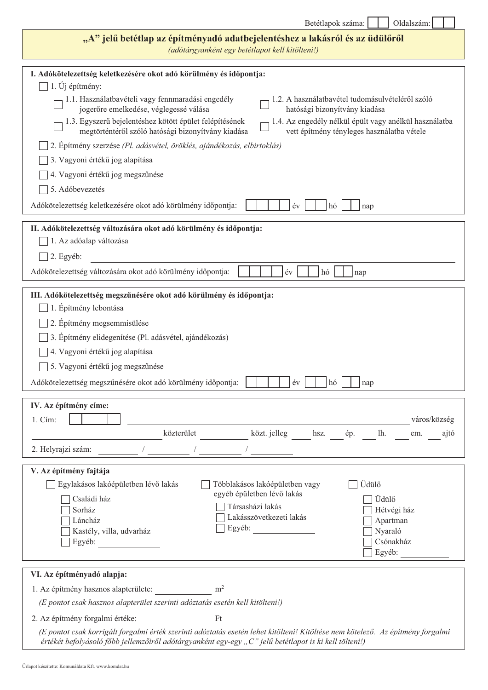| Betétlapok száma: |  |
|-------------------|--|
|                   |  |

Oldalszám:

 $\overline{\phantom{0}}$ 

| "A" jelű betétlap az építményadó adatbejelentéshez a lakásról és az üdülőről<br>(adótárgyanként egy betétlapot kell kitölteni!)                                                                                                                                                                                                                 |
|-------------------------------------------------------------------------------------------------------------------------------------------------------------------------------------------------------------------------------------------------------------------------------------------------------------------------------------------------|
| I. Adókötelezettség keletkezésére okot adó körülmény és időpontja:                                                                                                                                                                                                                                                                              |
| 1. Új építmény:                                                                                                                                                                                                                                                                                                                                 |
| 1.1. Használatbavételi vagy fennmaradási engedély<br>1.2. A használatbavétel tudomásulvételéről szóló<br>jogerőre emelkedése, véglegessé válása<br>hatósági bizonyítvány kiadása                                                                                                                                                                |
| 1.3. Egyszerű bejelentéshez kötött épület felépítésének<br>1.4. Az engedély nélkül épült vagy anélkül használatba<br>megtörténtéről szóló hatósági bizonyítvány kiadása<br>vett építmény tényleges használatba vétele                                                                                                                           |
| 2. Epítmény szerzése (Pl. adásvétel, öröklés, ajándékozás, elbirtoklás)                                                                                                                                                                                                                                                                         |
| 3. Vagyoni értékű jog alapítása                                                                                                                                                                                                                                                                                                                 |
| 4. Vagyoni értékű jog megszűnése                                                                                                                                                                                                                                                                                                                |
| 5. Adóbevezetés                                                                                                                                                                                                                                                                                                                                 |
| Adókötelezettség keletkezésére okot adó körülmény időpontja:<br>év<br>hó<br>nap                                                                                                                                                                                                                                                                 |
| II. Adókötelezettség változására okot adó körülmény és időpontja:                                                                                                                                                                                                                                                                               |
| 1. Az adóalap változása                                                                                                                                                                                                                                                                                                                         |
| 2. Egyéb:                                                                                                                                                                                                                                                                                                                                       |
| Adókötelezettség változására okot adó körülmény időpontja:<br>év<br>hó<br>nap                                                                                                                                                                                                                                                                   |
| 1. Építmény lebontása<br>2. Építmény megsemmisülése<br>3. Építmény elidegenítése (Pl. adásvétel, ajándékozás)<br>4. Vagyoni értékű jog alapítása<br>5. Vagyoni értékű jog megszűnése<br>Adókötelezettség megszűnésére okot adó körülmény időpontja:<br>év<br>hó<br>nap                                                                          |
| IV. Az építmény címe:<br>város/község<br>1. Cím:<br>közterület<br>közt. jelleg<br>lh.<br>hsz.<br>ép.<br>ajtó<br>em.                                                                                                                                                                                                                             |
| 2. Helyrajzi szám:                                                                                                                                                                                                                                                                                                                              |
| V. Az építmény fajtája<br>Üdülő<br>Egylakásos lakóépületben lévő lakás<br>Többlakásos lakóépületben vagy<br>egyéb épületben lévő lakás<br>Üdülő<br>Családi ház<br>Társasházi lakás<br>Sorház<br>Hétvégi ház<br>Lakásszövetkezeti lakás<br>Láncház<br>Apartman<br>Egyéb:<br>Kastély, villa, udvarház<br>Nyaraló<br>Csónakház<br>Egyéb:<br>Egyéb: |
| VI. Az építményadó alapja:                                                                                                                                                                                                                                                                                                                      |
| m <sup>2</sup><br>1. Az építmény hasznos alapterülete:                                                                                                                                                                                                                                                                                          |
| (E pontot csak hasznos alapterület szerinti adóztatás esetén kell kitölteni!)                                                                                                                                                                                                                                                                   |
| Ft<br>2. Az építmény forgalmi értéke:                                                                                                                                                                                                                                                                                                           |
| (E pontot csak korrigált forgalmi érték szerinti adóztatás esetén lehet kitölteni! Kitöltése nem kötelező. Az építmény forgalmi<br>értékét befolyásoló főbb jellemzőiről adótárgyanként egy-egy "C" jelű betétlapot is ki kell tölteni!)                                                                                                        |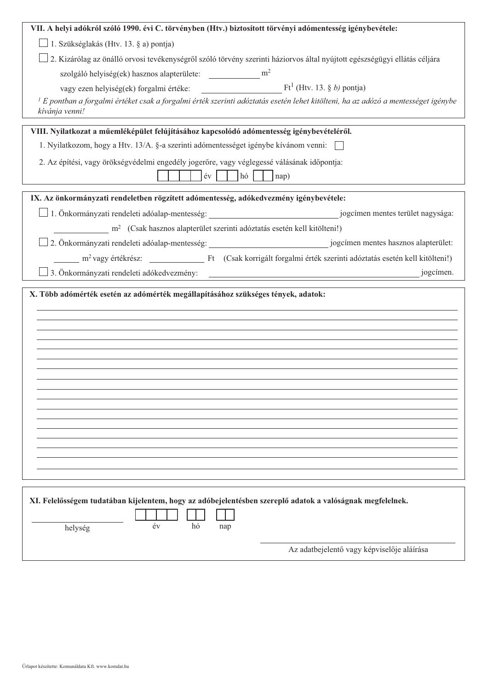| VII. A helyi adókról szóló 1990. évi C. törvényben (Htv.) biztosított törvényi adómentesség igénybevétele:                                                                     |
|--------------------------------------------------------------------------------------------------------------------------------------------------------------------------------|
| 1. Szükséglakás (Htv. 13. § a) pontja)                                                                                                                                         |
| 2. Kizárólag az önálló orvosi tevékenységről szóló törvény szerinti háziorvos által nyújtott egészségügyi ellátás céljára                                                      |
| szolgáló helyiség(ek) hasznos alapterülete: ___________________ m <sup>2</sup>                                                                                                 |
|                                                                                                                                                                                |
| $^l$ E pontban a forgalmi értéket csak a forgalmi érték szerinti adóztatás esetén lehet kitölteni, ha az adózó a mentességet igénybe                                           |
| kívánja venni!                                                                                                                                                                 |
| VIII. Nyilatkozat a műemléképület felújításához kapcsolódó adómentesség igénybevételéről.                                                                                      |
| 1. Nyilatkozom, hogy a Htv. 13/A. §-a szerinti adómentességet igénybe kívánom venni:                                                                                           |
| 2. Az építési, vagy örökségvédelmi engedély jogerőre, vagy véglegessé válásának időpontja:                                                                                     |
| ev<br>$ h\acute{o} $<br>nap)                                                                                                                                                   |
|                                                                                                                                                                                |
| IX. Az önkormányzati rendeletben rögzített adómentesség, adókedvezmény igénybevétele:                                                                                          |
|                                                                                                                                                                                |
| m <sup>2</sup> (Csak hasznos alapterület szerinti adóztatás esetén kell kitölteni!)                                                                                            |
|                                                                                                                                                                                |
|                                                                                                                                                                                |
| 3. Önkormányzati rendeleti adókedvezmény:<br>jogcímen.<br><u> 1980 - Jan Samuel Barbara, martin a shekara 1980 - 1981 - 1982 - 1982 - 1982 - 1982 - 1983 - 1984 - 1986 - 1</u> |
| X. Több adómérték esetén az adómérték megállapításához szükséges tények, adatok:                                                                                               |
| XI. Felelősségem tudatában kijelentem, hogy az adóbejelentésben szereplő adatok a valóságnak megfelelnek.<br>év<br>hó<br>nap<br>helység                                        |
| Az adatbejelentő vagy képviselője aláírása                                                                                                                                     |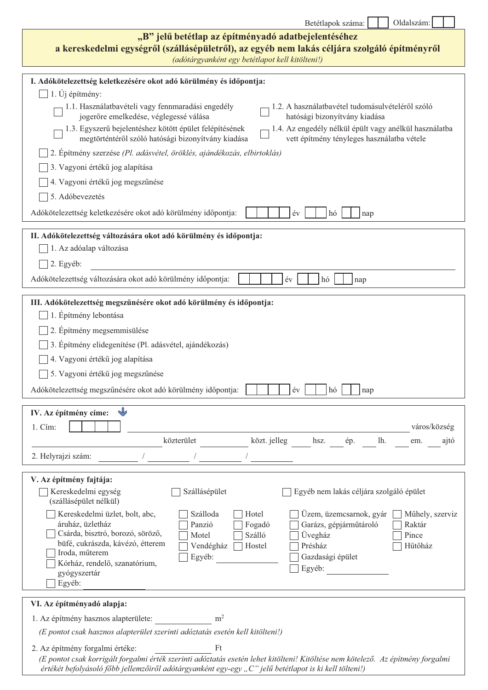| Oldalszám:<br>Betétlapok száma:                                                                                                                                                                                                                                                                                                                                                                                                                                                                                                                                                                                                                                                                                                                                                                                                                                           |
|---------------------------------------------------------------------------------------------------------------------------------------------------------------------------------------------------------------------------------------------------------------------------------------------------------------------------------------------------------------------------------------------------------------------------------------------------------------------------------------------------------------------------------------------------------------------------------------------------------------------------------------------------------------------------------------------------------------------------------------------------------------------------------------------------------------------------------------------------------------------------|
| "B" jelű betétlap az építményadó adatbejelentéséhez<br>a kereskedelmi egységről (szállásépületről), az egyéb nem lakás céljára szolgáló építményről<br>(adótárgyanként egy betétlapot kell kitölteni!)                                                                                                                                                                                                                                                                                                                                                                                                                                                                                                                                                                                                                                                                    |
| I. Adókötelezettség keletkezésére okot adó körülmény és időpontja:<br>$1. Uj$ építmény:<br>1.1. Használatbavételi vagy fennmaradási engedély<br>1.2. A használatbavétel tudomásulvételéről szóló<br>hatósági bizonyítvány kiadása<br>jogerőre emelkedése, véglegessé válása<br>1.3. Egyszerű bejelentéshez kötött épület felépítésének<br>1.4. Az engedély nélkül épült vagy anélkül használatba<br>vett építmény tényleges használatba vétele<br>megtörténtéről szóló hatósági bizonyítvány kiadása<br>2. Epítmény szerzése (Pl. adásvétel, öröklés, ajándékozás, elbirtoklás)<br>3. Vagyoni értékű jog alapítása<br>4. Vagyoni értékű jog megszűnése<br>5. Adóbevezetés<br>Adókötelezettség keletkezésére okot adó körülmény időpontja:<br>év<br>hó<br>nap<br>II. Adókötelezettség változására okot adó körülmény és időpontja:<br>1. Az adóalap változása<br>2. Egyéb: |
| Adókötelezettség változására okot adó körülmény időpontja:<br>év<br>hó<br>nap                                                                                                                                                                                                                                                                                                                                                                                                                                                                                                                                                                                                                                                                                                                                                                                             |
| III. Adókötelezettség megszűnésére okot adó körülmény és időpontja:<br>1. Építmény lebontása<br>2. Építmény megsemmisülése<br>3. Építmény elidegenítése (Pl. adásvétel, ajándékozás)<br>4. Vagyoni értékű jog alapítása<br>5. Vagyoni értékű jog megszűnése<br>Adókötelezettség megszűnésére okot adó körülmény időpontja:<br>év<br>hó<br>nap                                                                                                                                                                                                                                                                                                                                                                                                                                                                                                                             |
| IV. Az építmény címe:                                                                                                                                                                                                                                                                                                                                                                                                                                                                                                                                                                                                                                                                                                                                                                                                                                                     |
| város/község<br>1. Cím:<br>közt. jelleg<br>közterület<br>lh.<br>hsz.<br>ép.<br>ajtó<br>em.<br>2. Helyrajzi szám:                                                                                                                                                                                                                                                                                                                                                                                                                                                                                                                                                                                                                                                                                                                                                          |
| V. Az építmény fajtája:<br>Kereskedelmi egység<br>Szállásépület<br>Egyéb nem lakás céljára szolgáló épület<br>(szállásépület nélkül)<br>Kereskedelmi üzlet, bolt, abc,<br>Szálloda<br>Hotel<br>Üzem, üzemcsarnok, gyár<br>Műhely, szerviz<br>áruház, üzletház<br>Garázs, gépjárműtároló<br>Panzió<br>Fogadó<br>Raktár<br>Csárda, bisztró, borozó, söröző,<br>Szálló<br>Üvegház<br>Pince<br>Motel<br>büfé, cukrászda, kávézó, étterem<br>Présház<br>Hűtőház<br>Vendégház<br>Hostel<br>Iroda, műterem<br>Gazdasági épület<br>Egyéb:<br>Kórház, rendelő, szanatórium,<br>Egyéb:<br>gyógyszertár<br>Egyéb:<br>VI. Az építményadó alapja:                                                                                                                                                                                                                                      |
| m <sup>2</sup><br>1. Az építmény hasznos alapterülete:<br>(E pontot csak hasznos alapterület szerinti adóztatás esetén kell kitölteni!)<br>2. Az építmény forgalmi értéke:<br>Ft<br>(E pontot csak korrigált forgalmi érték szerinti adóztatás esetén lehet kitölteni! Kitöltése nem kötelező. Az építmény forgalmi<br>értékét befolyásoló főbb jellemzőiről adótárgyanként egy-egy "C" jelű betétlapot is ki kell tölteni!)                                                                                                                                                                                                                                                                                                                                                                                                                                              |